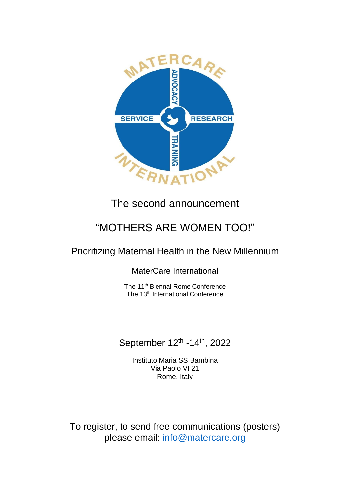

## The second announcement

## "MOTHERS ARE WOMEN TOO!"

## Prioritizing Maternal Health in the New Millennium

MaterCare International

The 11<sup>th</sup> Biennal Rome Conference The 13<sup>th</sup> International Conference

## September 12<sup>th</sup> -14<sup>th</sup>, 2022

Instituto Maria SS Bambina Via Paolo VI 21 Rome, Italy

To register, to send free communications (posters) please email: [info@matercare.org](mailto:info@matercare.org)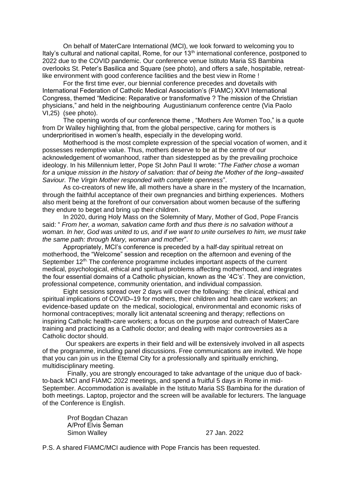On behalf of MaterCare International (MCI), we look forward to welcoming you to Italy's cultural and national capital, Rome, for our 13<sup>th</sup> international conference, postponed to 2022 due to the COVID pandemic. Our conference venue Istituto Maria SS Bambina overlooks St. Peter's Basilica and Square (see photo), and offers a safe, hospitable, retreatlike environment with good conference facilities and the best view in Rome !

For the first time ever, our biennial conference precedes and dovetails with International Federation of Catholic Medical Association's (FIAMC) XXVI International Congress, themed "Medicine: Reparative or transformative ? The mission of the Christian physicians," and held in the neighbouring Augustinianum conference centre (Via Paolo VI,25) (see photo).

The opening words of our conference theme , "Mothers Are Women Too," is a quote from Dr Walley highlighting that, from the global perspective, caring for mothers is underprioritised in women's health, especially in the developing world.

Motherhood is the most complete expression of the special vocation of women, and it possesses redemptive value. Thus, mothers deserve to be at the centre of our acknowledgement of womanhood, rather than sidestepped as by the prevailing prochoice ideology. In his Millennium letter, Pope St John Paul II wrote: "*The Father chose a woman for a unique mission in the history of salvation: that of being the Mother of the long–awaited Saviour. The Virgin Mother responded with complete openness*".

As co-creators of new life, all mothers have a share in the mystery of the Incarnation, through the faithful acceptance of their own pregnancies and birthing experiences. Mothers also merit being at the forefront of our conversation about women because of the suffering they endure to beget and bring up their children.

In 2020, during Holy Mass on the Solemnity of Mary, Mother of God, Pope Francis said: " *From her, a woman, salvation came forth and thus there is no salvation without a woman. In her, God was united to us, and if we want to unite ourselves to him, we must take the same path: through Mary, woman and mother*".

Appropriately, MCI's conference is preceded by a half-day spiritual retreat on motherhood, the "Welcome" session and reception on the afternoon and evening of the September 12th. The conference programme includes important aspects of the current medical, psychological, ethical and spiritual problems affecting motherhood, and integrates the four essential domains of a Catholic physician, known as the '4C's'. They are conviction, professional competence, community orientation, and individual compassion.

Eight sessions spread over 2 days will cover the following: the clinical, ethical and spiritual implications of COVID–19 for mothers, their children and health care workers; an evidence-based update on the medical, sociological, environmental and economic risks of hormonal contraceptives; morally licit antenatal screening and therapy; reflections on inspiring Catholic health-care workers; a focus on the purpose and outreach of MaterCare training and practicing as a Catholic doctor; and dealing with major controversies as a Catholic doctor should.

 Our speakers are experts in their field and will be extensively involved in all aspects of the programme, including panel discussions. Free communications are invited. We hope that you can join us in the Eternal City for a professionally and spiritually enriching, multidisciplinary meeting.

 Finally, you are strongly encouraged to take advantage of the unique duo of backto-back MCI and FIAMC 2022 meetings, and spend a fruitful 5 days in Rome in mid-September. Accommodation is available in the Istituto Maria SS Bambina for the duration of both meetings. Laptop, projector and the screen will be available for lecturers. The language of the Conference is English.

 Prof Bogdan Chazan A/Prof Elvis Šeman Simon Walley 27 Jan. 2022

P.S. A shared FIAMC/MCI audience with Pope Francis has been requested.